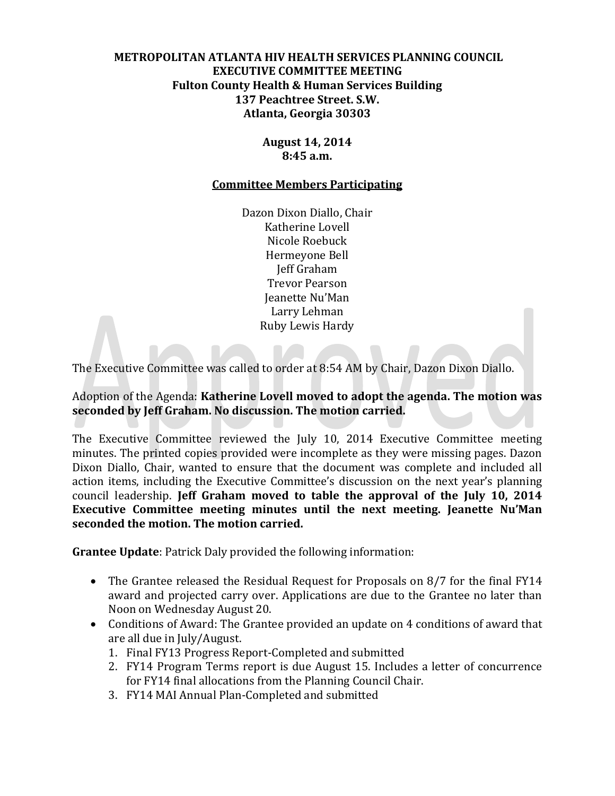# **METROPOLITAN ATLANTA HIV HEALTH SERVICES PLANNING COUNCIL EXECUTIVE COMMITTEE MEETING Fulton County Health & Human Services Building 137 Peachtree Street. S.W. Atlanta, Georgia 30303**

#### **August 14, 2014 8:45 a.m.**

#### **Committee Members Participating**

Dazon Dixon Diallo, Chair Katherine Lovell Nicole Roebuck Hermeyone Bell Jeff Graham Trevor Pearson Jeanette Nu'Man Larry Lehman Ruby Lewis Hardy

The Executive Committee was called to order at 8:54 AM by Chair, Dazon Dixon Diallo.

#### Adoption of the Agenda: **Katherine Lovell moved to adopt the agenda. The motion was seconded by Jeff Graham. No discussion. The motion carried.**

The Executive Committee reviewed the July 10, 2014 Executive Committee meeting minutes. The printed copies provided were incomplete as they were missing pages. Dazon Dixon Diallo, Chair, wanted to ensure that the document was complete and included all action items, including the Executive Committee's discussion on the next year's planning council leadership. **Jeff Graham moved to table the approval of the July 10, 2014 Executive Committee meeting minutes until the next meeting. Jeanette Nu'Man seconded the motion. The motion carried.**

**Grantee Update**: Patrick Daly provided the following information:

- The Grantee released the Residual Request for Proposals on 8/7 for the final FY14 award and projected carry over. Applications are due to the Grantee no later than Noon on Wednesday August 20.
- Conditions of Award: The Grantee provided an update on 4 conditions of award that are all due in July/August.
	- 1. Final FY13 Progress Report-Completed and submitted
	- 2. FY14 Program Terms report is due August 15. Includes a letter of concurrence for FY14 final allocations from the Planning Council Chair.
	- 3. FY14 MAI Annual Plan-Completed and submitted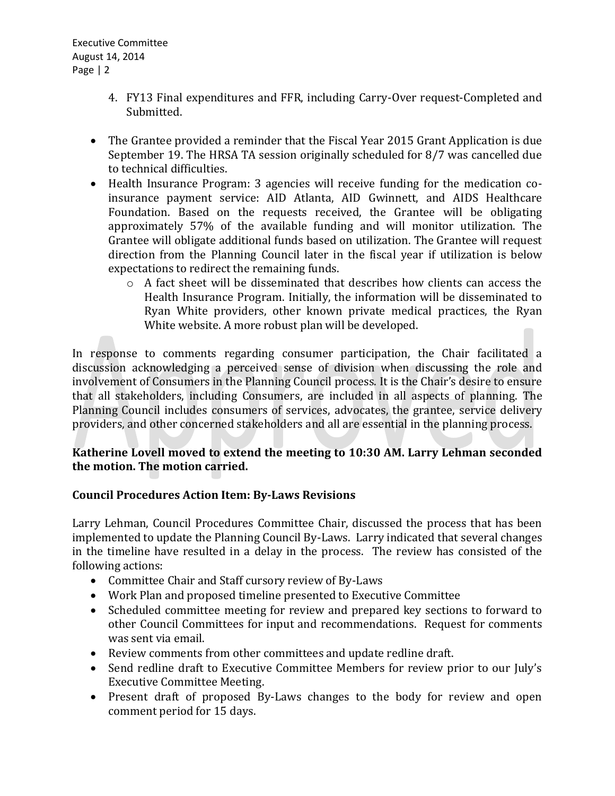Executive Committee August 14, 2014 Page | 2

- 4. FY13 Final expenditures and FFR, including Carry-Over request-Completed and Submitted.
- The Grantee provided a reminder that the Fiscal Year 2015 Grant Application is due September 19. The HRSA TA session originally scheduled for 8/7 was cancelled due to technical difficulties.
- Health Insurance Program: 3 agencies will receive funding for the medication coinsurance payment service: AID Atlanta, AID Gwinnett, and AIDS Healthcare Foundation. Based on the requests received, the Grantee will be obligating approximately 57% of the available funding and will monitor utilization. The Grantee will obligate additional funds based on utilization. The Grantee will request direction from the Planning Council later in the fiscal year if utilization is below expectations to redirect the remaining funds.
	- o A fact sheet will be disseminated that describes how clients can access the Health Insurance Program. Initially, the information will be disseminated to Ryan White providers, other known private medical practices, the Ryan White website. A more robust plan will be developed.

In response to comments regarding consumer participation, the Chair facilitated a discussion acknowledging a perceived sense of division when discussing the role and involvement of Consumers in the Planning Council process. It is the Chair's desire to ensure that all stakeholders, including Consumers, are included in all aspects of planning. The Planning Council includes consumers of services, advocates, the grantee, service delivery providers, and other concerned stakeholders and all are essential in the planning process.

# **Katherine Lovell moved to extend the meeting to 10:30 AM. Larry Lehman seconded the motion. The motion carried.**

# **Council Procedures Action Item: By-Laws Revisions**

Larry Lehman, Council Procedures Committee Chair, discussed the process that has been implemented to update the Planning Council By-Laws. Larry indicated that several changes in the timeline have resulted in a delay in the process. The review has consisted of the following actions:

- Committee Chair and Staff cursory review of By-Laws
- Work Plan and proposed timeline presented to Executive Committee
- Scheduled committee meeting for review and prepared key sections to forward to other Council Committees for input and recommendations. Request for comments was sent via email.
- Review comments from other committees and update redline draft.
- Send redline draft to Executive Committee Members for review prior to our July's Executive Committee Meeting.
- Present draft of proposed By-Laws changes to the body for review and open comment period for 15 days.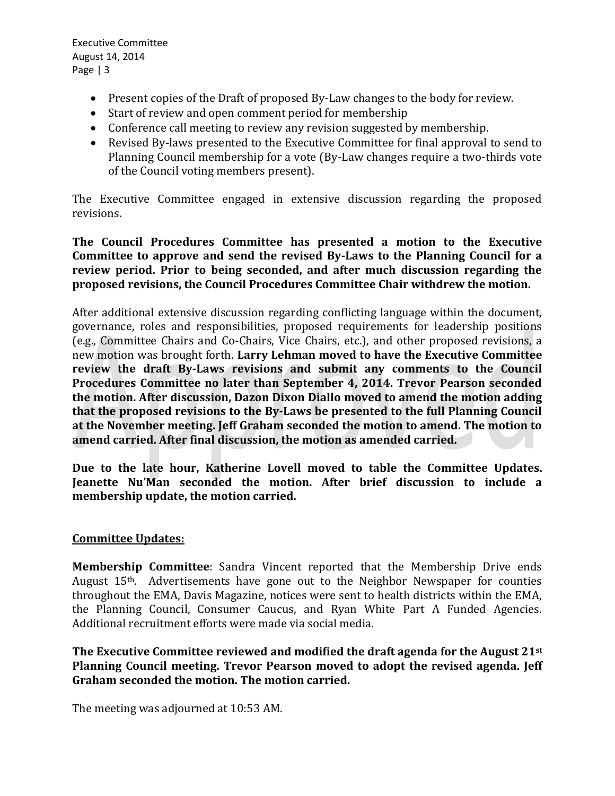Executive Committee August 14, 2014 Page | 3

- Present copies of the Draft of proposed By-Law changes to the body for review.
- Start of review and open comment period for membership
- Conference call meeting to review any revision suggested by membership.
- Revised By-laws presented to the Executive Committee for final approval to send to Planning Council membership for a vote (By-Law changes require a two-thirds vote of the Council voting members present).

The Executive Committee engaged in extensive discussion regarding the proposed revisions.

# **The Council Procedures Committee has presented a motion to the Executive Committee to approve and send the revised By-Laws to the Planning Council for a review period. Prior to being seconded, and after much discussion regarding the proposed revisions, the Council Procedures Committee Chair withdrew the motion.**

After additional extensive discussion regarding conflicting language within the document, governance, roles and responsibilities, proposed requirements for leadership positions (e.g., Committee Chairs and Co-Chairs, Vice Chairs, etc.), and other proposed revisions, a new motion was brought forth. **Larry Lehman moved to have the Executive Committee review the draft By-Laws revisions and submit any comments to the Council Procedures Committee no later than September 4, 2014. Trevor Pearson seconded the motion. After discussion, Dazon Dixon Diallo moved to amend the motion adding that the proposed revisions to the By-Laws be presented to the full Planning Council at the November meeting. Jeff Graham seconded the motion to amend. The motion to amend carried. After final discussion, the motion as amended carried.**

**Due to the late hour, Katherine Lovell moved to table the Committee Updates. Jeanette Nu'Man seconded the motion. After brief discussion to include a membership update, the motion carried.** 

# **Committee Updates:**

**Membership Committee**: Sandra Vincent reported that the Membership Drive ends August 15th. Advertisements have gone out to the Neighbor Newspaper for counties throughout the EMA, Davis Magazine, notices were sent to health districts within the EMA, the Planning Council, Consumer Caucus, and Ryan White Part A Funded Agencies. Additional recruitment efforts were made via social media.

**The Executive Committee reviewed and modified the draft agenda for the August 21st Planning Council meeting. Trevor Pearson moved to adopt the revised agenda. Jeff Graham seconded the motion. The motion carried.**

The meeting was adjourned at 10:53 AM.